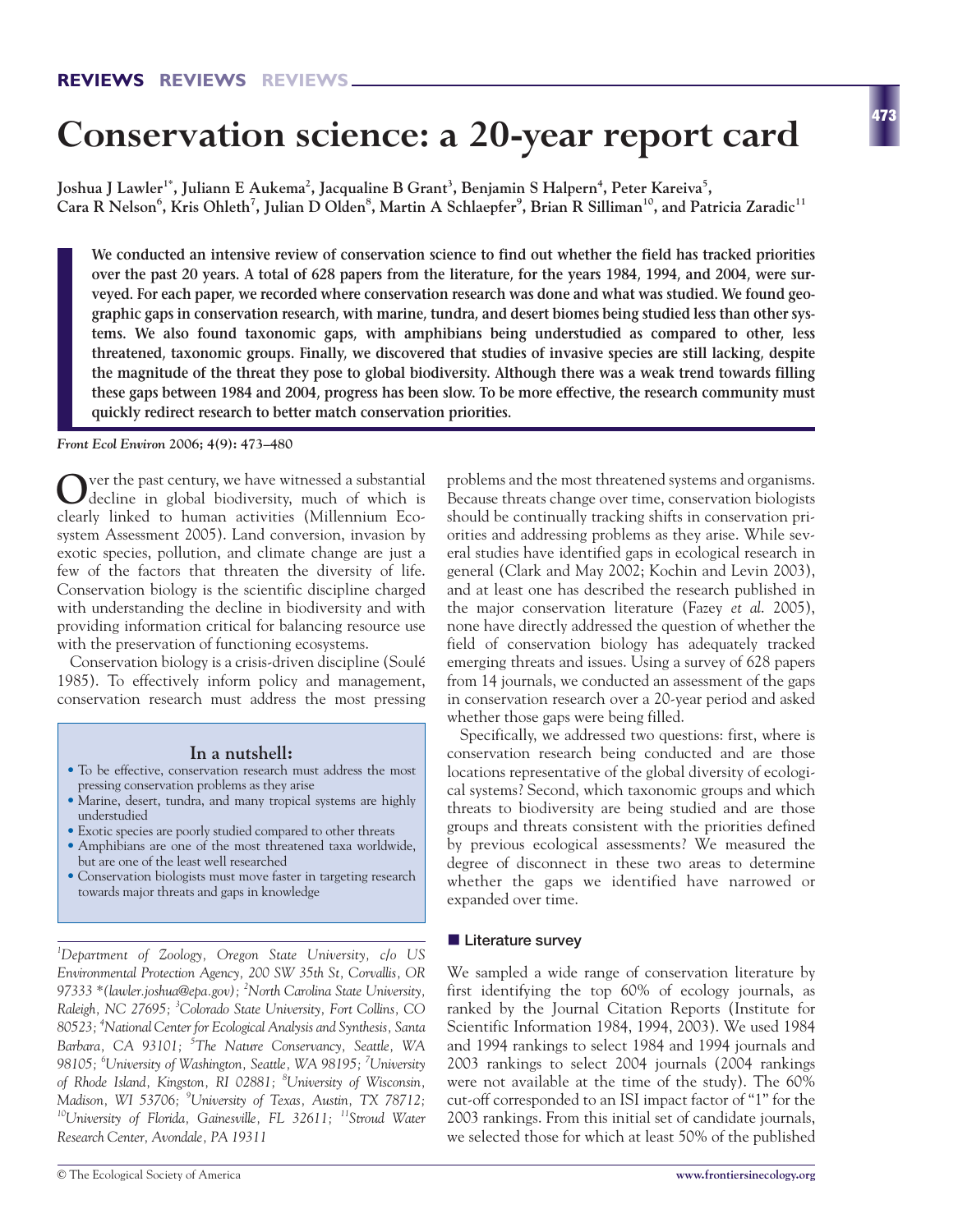# **Conservation science: a 20-year report card**

Joshua J Lawler<sup>1\*</sup>, Juliann E Aukema<sup>2</sup>, Jacqualine B Grant<sup>3</sup>, Benjamin S Halpern<sup>4</sup>, Peter Kareiva<sup>5</sup>,  $\rm {Cara~R~Nelson}^6,$   $\rm {Kris~Ohleth}^7,$  Julian D Olden $^8$ , Martin A Schlaepfer $^9$ , Brian R Silliman $^{10}$ , and Patricia Zaradic $^{11}$ 

**We conducted an intensive review of conservation science to find out whether the field has tracked priorities over the past 20 years. A total of 628 papers from the literature, for the years 1984, 1994, and 2004, were surveyed. For each paper, we recorded where conservation research was done and what was studied. We found geographic gaps in conservation research, with marine, tundra, and desert biomes being studied less than other systems. We also found taxonomic gaps, with amphibians being understudied as compared to other, less threatened, taxonomic groups. Finally, we discovered that studies of invasive species are still lacking, despite the magnitude of the threat they pose to global biodiversity. Although there was a weak trend towards filling these gaps between 1984 and 2004, progress has been slow. To be more effective, the research community must quickly redirect research to better match conservation priorities.** 

*Front Ecol Environ* **2006; 4(9): 473–480**

**O**ver the past century, we have witnessed a substantial decline in global biodiversity, much of which is clearly linked to human activities (Millennium Ecosystem Assessment 2005). Land conversion, invasion by exotic species, pollution, and climate change are just a few of the factors that threaten the diversity of life. Conservation biology is the scientific discipline charged with understanding the decline in biodiversity and with providing information critical for balancing resource use with the preservation of functioning ecosystems.

Conservation biology is a crisis-driven discipline (Soulé 1985). To effectively inform policy and management, conservation research must address the most pressing

# **In a nutshell:**

- To be effective, conservation research must address the most pressing conservation problems as they arise
- Marine, desert, tundra, and many tropical systems are highly understudied
- Exotic species are poorly studied compared to other threats • Amphibians are one of the most threatened taxa worldwide, but are one of the least well researched
- Conservation biologists must move faster in targeting research towards major threats and gaps in knowledge

*1 Department of Zoology, Oregon State University, c/o US Environmental Protection Agency, 200 SW 35th St, Corvallis, OR 97333 \*(lawler.joshua@epa.gov); <sup>2</sup> North Carolina State University, Raleigh, NC 27695; <sup>3</sup> Colorado State University, Fort Collins, CO 80523; <sup>4</sup> National Center for Ecological Analysis and Synthesis, Santa Barbara, CA 93101; <sup>5</sup> The Nature Conservancy, Seattle, WA 98105; <sup>6</sup> University of Washington, Seattle, WA 98195; <sup>7</sup> University of Rhode Island, Kingston, RI 02881; <sup>8</sup> University of Wisconsin, Madison, WI 53706; <sup>9</sup> University of Texas, Austin, TX 78712; 10University of Florida, Gainesville, FL 32611; 11Stroud Water Research Center, Avondale, PA 19311*

problems and the most threatened systems and organisms. Because threats change over time, conservation biologists should be continually tracking shifts in conservation priorities and addressing problems as they arise. While several studies have identified gaps in ecological research in general (Clark and May 2002; Kochin and Levin 2003), and at least one has described the research published in the major conservation literature (Fazey *et al*. 2005), none have directly addressed the question of whether the field of conservation biology has adequately tracked emerging threats and issues. Using a survey of 628 papers from 14 journals, we conducted an assessment of the gaps in conservation research over a 20-year period and asked whether those gaps were being filled.

Specifically, we addressed two questions: first, where is conservation research being conducted and are those locations representative of the global diversity of ecological systems? Second, which taxonomic groups and which threats to biodiversity are being studied and are those groups and threats consistent with the priorities defined by previous ecological assessments? We measured the degree of disconnect in these two areas to determine whether the gaps we identified have narrowed or expanded over time.

#### **Literature survey**

We sampled a wide range of conservation literature by first identifying the top 60% of ecology journals, as ranked by the Journal Citation Reports (Institute for Scientific Information 1984, 1994, 2003). We used 1984 and 1994 rankings to select 1984 and 1994 journals and 2003 rankings to select 2004 journals (2004 rankings were not available at the time of the study). The 60% cut-off corresponded to an ISI impact factor of "1" for the 2003 rankings. From this initial set of candidate journals, we selected those for which at least 50% of the published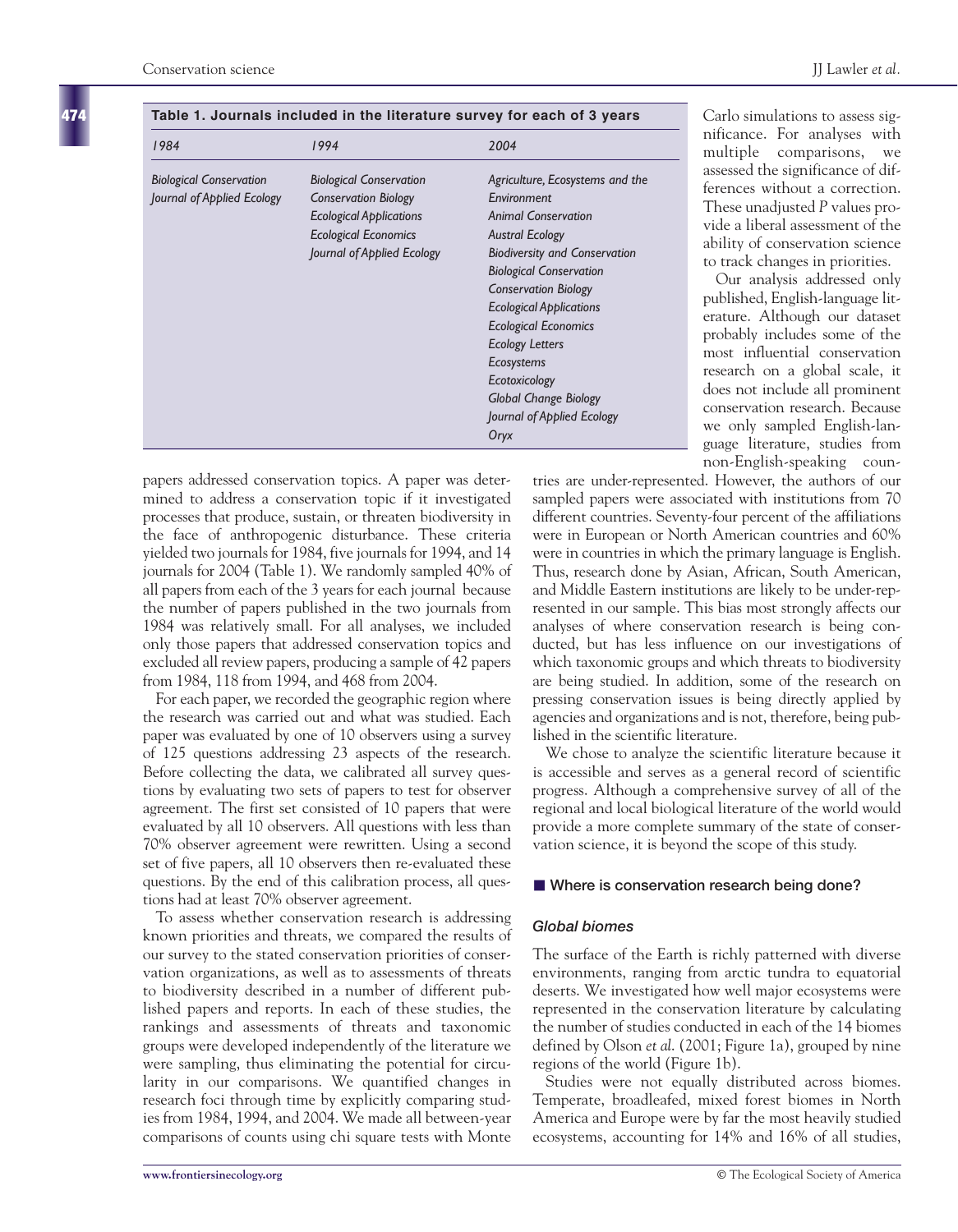**474**

Carlo simulations to assess significance. For analyses with multiple comparisons, we assessed the significance of differences without a correction. These unadjusted *P* values provide a liberal assessment of the ability of conservation science to track changes in priorities. Our analysis addressed only published, English-language literature. Although our dataset probably includes some of the most influential conservation research on a global scale, it does not include all prominent conservation research. Because we only sampled English-language literature, studies from non-English-speaking coun-

| 1984                           | 1994                           | 2004                                 |
|--------------------------------|--------------------------------|--------------------------------------|
| <b>Biological Conservation</b> | <b>Biological Conservation</b> | Agriculture, Ecosystems and the      |
| Journal of Applied Ecology     | <b>Conservation Biology</b>    | Environment                          |
|                                | <b>Ecological Applications</b> | <b>Animal Conservation</b>           |
|                                | <b>Ecological Economics</b>    | <b>Austral Ecology</b>               |
|                                | Journal of Applied Ecology     | <b>Biodiversity and Conservation</b> |
|                                |                                | <b>Biological Conservation</b>       |
|                                |                                | <b>Conservation Biology</b>          |
|                                |                                | <b>Ecological Applications</b>       |
|                                |                                | <b>Ecological Economics</b>          |
|                                |                                | <b>Ecology Letters</b>               |
|                                |                                | <b>Ecosystems</b>                    |
|                                |                                | Ecotoxicology                        |
|                                |                                | <b>Global Change Biology</b>         |
|                                |                                | Journal of Applied Ecology           |
|                                |                                | Oryx                                 |

#### **Table 1. Journals included in the literature survey for each of 3 years**

papers addressed conservation topics. A paper was determined to address a conservation topic if it investigated processes that produce, sustain, or threaten biodiversity in the face of anthropogenic disturbance. These criteria yielded two journals for 1984, five journals for 1994, and 14 journals for 2004 (Table 1). We randomly sampled 40% of all papers from each of the 3 years for each journal because the number of papers published in the two journals from 1984 was relatively small. For all analyses, we included only those papers that addressed conservation topics and excluded all review papers, producing a sample of 42 papers from 1984, 118 from 1994, and 468 from 2004.

For each paper, we recorded the geographic region where the research was carried out and what was studied. Each paper was evaluated by one of 10 observers using a survey of 125 questions addressing 23 aspects of the research. Before collecting the data, we calibrated all survey questions by evaluating two sets of papers to test for observer agreement. The first set consisted of 10 papers that were evaluated by all 10 observers. All questions with less than 70% observer agreement were rewritten. Using a second set of five papers, all 10 observers then re-evaluated these questions. By the end of this calibration process, all questions had at least 70% observer agreement.

To assess whether conservation research is addressing known priorities and threats, we compared the results of our survey to the stated conservation priorities of conservation organizations, as well as to assessments of threats to biodiversity described in a number of different published papers and reports. In each of these studies, the rankings and assessments of threats and taxonomic groups were developed independently of the literature we were sampling, thus eliminating the potential for circularity in our comparisons. We quantified changes in research foci through time by explicitly comparing studies from 1984, 1994, and 2004. We made all between-year comparisons of counts using chi square tests with Monte tries are under-represented. However, the authors of our sampled papers were associated with institutions from 70 different countries. Seventy-four percent of the affiliations were in European or North American countries and 60% were in countries in which the primary language is English. Thus, research done by Asian, African, South American, and Middle Eastern institutions are likely to be under-represented in our sample. This bias most strongly affects our analyses of where conservation research is being conducted, but has less influence on our investigations of which taxonomic groups and which threats to biodiversity are being studied. In addition, some of the research on pressing conservation issues is being directly applied by agencies and organizations and is not, therefore, being published in the scientific literature.

We chose to analyze the scientific literature because it is accessible and serves as a general record of scientific progress. Although a comprehensive survey of all of the regional and local biological literature of the world would provide a more complete summary of the state of conservation science, it is beyond the scope of this study.

# ■ Where is conservation research being done?

# *Global biomes*

The surface of the Earth is richly patterned with diverse environments, ranging from arctic tundra to equatorial deserts. We investigated how well major ecosystems were represented in the conservation literature by calculating the number of studies conducted in each of the 14 biomes defined by Olson *et al*. (2001; Figure 1a), grouped by nine regions of the world (Figure 1b).

Studies were not equally distributed across biomes. Temperate, broadleafed, mixed forest biomes in North America and Europe were by far the most heavily studied ecosystems, accounting for 14% and 16% of all studies,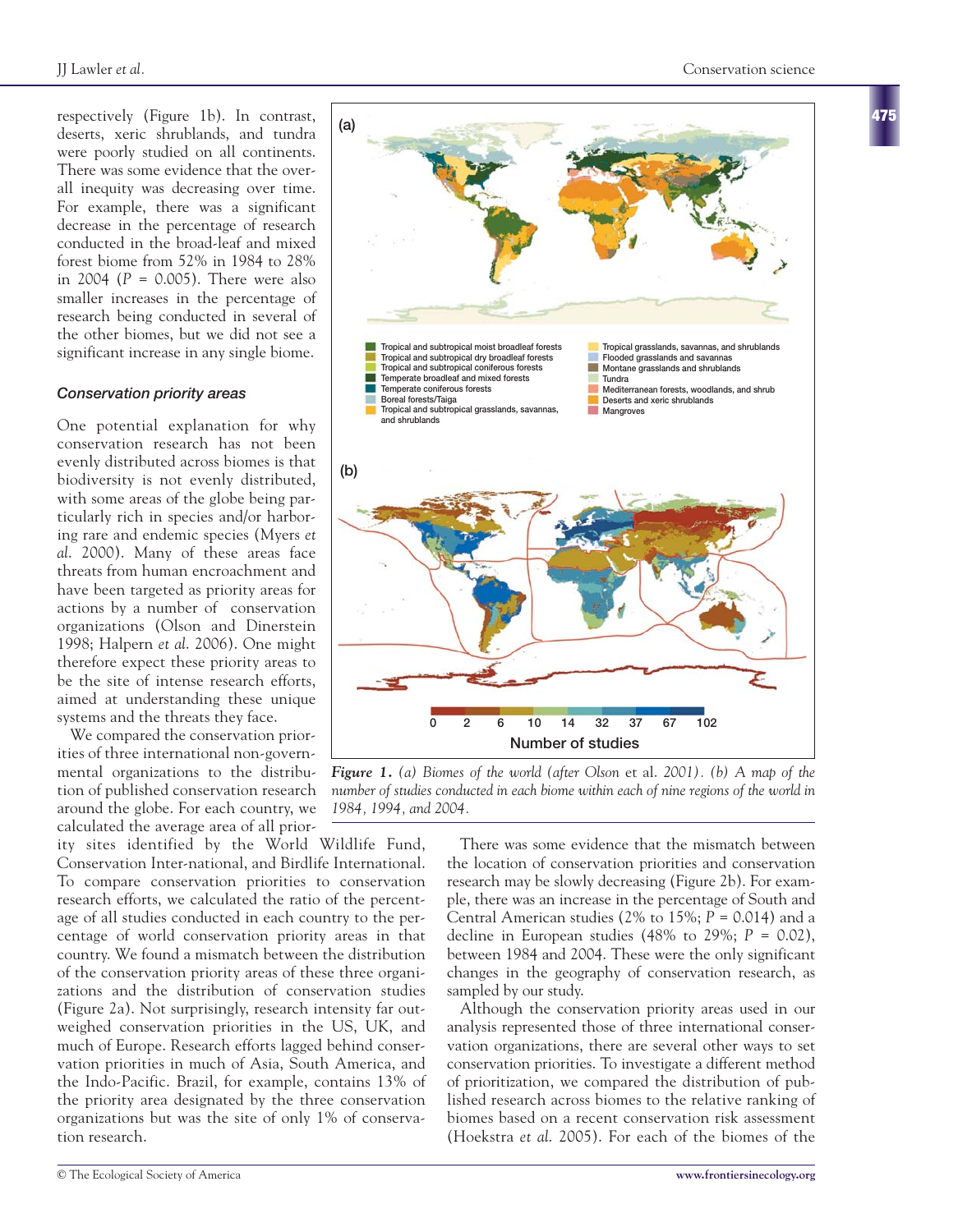respectively (Figure 1b). In contrast, deserts, xeric shrublands, and tundra were poorly studied on all continents. There was some evidence that the overall inequity was decreasing over time. For example, there was a significant decrease in the percentage of research conducted in the broad-leaf and mixed forest biome from 52% in 1984 to 28% in 2004 (*P* = 0.005). There were also smaller increases in the percentage of research being conducted in several of the other biomes, but we did not see a significant increase in any single biome.

# *Conservation priority areas*

One potential explanation for why conservation research has not been evenly distributed across biomes is that biodiversity is not evenly distributed, with some areas of the globe being particularly rich in species and/or harboring rare and endemic species (Myers *et al*. 2000). Many of these areas face threats from human encroachment and have been targeted as priority areas for actions by a number of conservation organizations (Olson and Dinerstein 1998; Halpern *et al*. 2006). One might therefore expect these priority areas to be the site of intense research efforts, aimed at understanding these unique systems and the threats they face.

We compared the conservation priorities of three international non-governmental organizations to the distribution of published conservation research around the globe. For each country, we calculated the average area of all prior-

ity sites identified by the World Wildlife Fund, Conservation Inter-national, and Birdlife International. To compare conservation priorities to conservation research efforts, we calculated the ratio of the percentage of all studies conducted in each country to the percentage of world conservation priority areas in that country. We found a mismatch between the distribution of the conservation priority areas of these three organizations and the distribution of conservation studies (Figure 2a). Not surprisingly, research intensity far outweighed conservation priorities in the US, UK, and much of Europe. Research efforts lagged behind conservation priorities in much of Asia, South America, and the Indo-Pacific. Brazil, for example, contains 13% of the priority area designated by the three conservation organizations but was the site of only 1% of conservation research.



*Figure 1. (a) Biomes of the world (after Olson et al. 2001). (b) A map of the number of studies conducted in each biome within each of nine regions of the world in 1984, 1994, and 2004.*

There was some evidence that the mismatch between the location of conservation priorities and conservation research may be slowly decreasing (Figure 2b). For example, there was an increase in the percentage of South and Central American studies (2% to 15%; *P* = 0.014) and a decline in European studies  $(48\%$  to  $29\%; P = 0.02$ ), between 1984 and 2004. These were the only significant changes in the geography of conservation research, as sampled by our study.

Although the conservation priority areas used in our analysis represented those of three international conservation organizations, there are several other ways to set conservation priorities. To investigate a different method of prioritization, we compared the distribution of published research across biomes to the relative ranking of biomes based on a recent conservation risk assessment (Hoekstra *et al*. 2005). For each of the biomes of the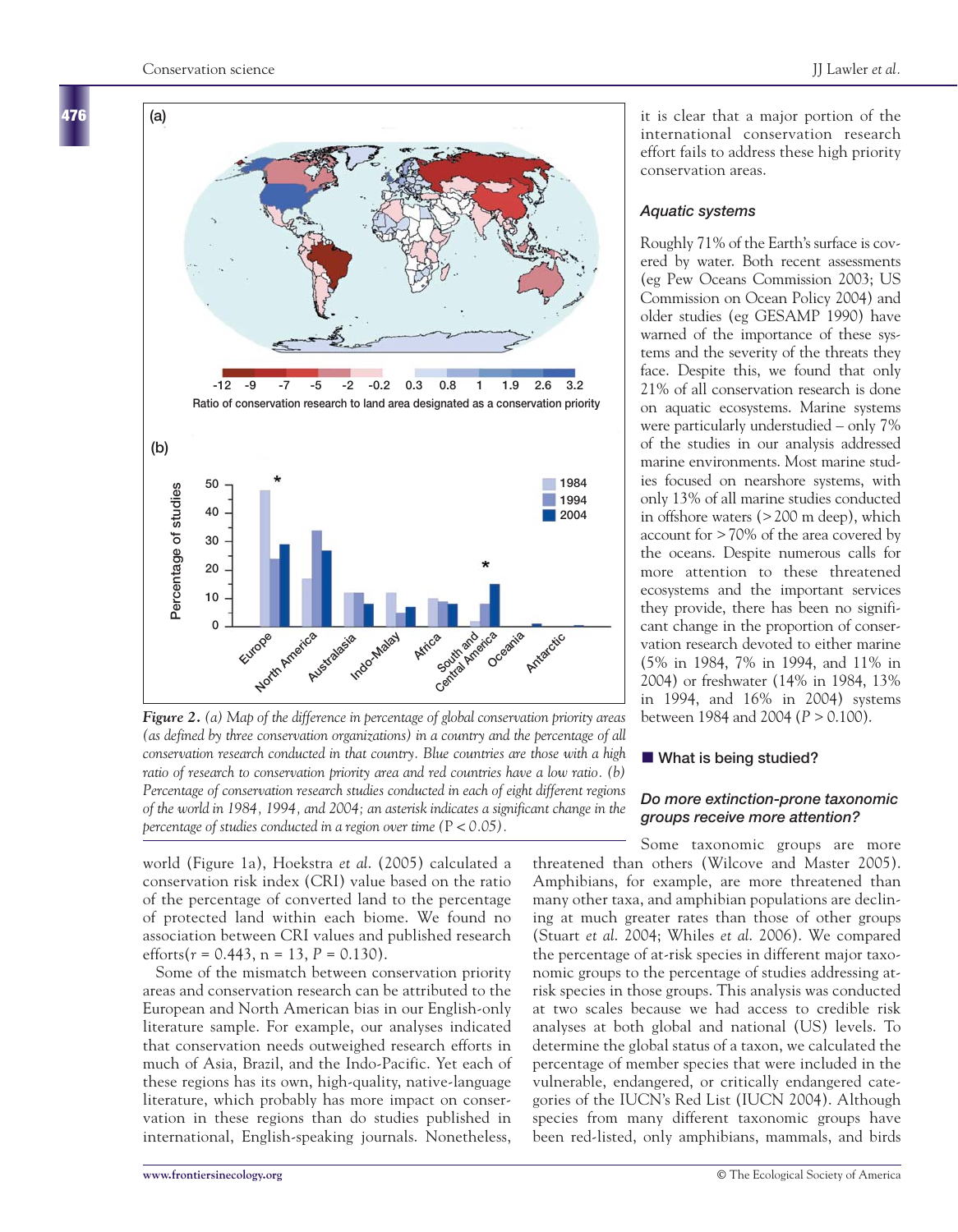**476**



*Figure 2. (a) Map of the difference in percentage of global conservation priority areas (as defined by three conservation organizations) in a country and the percentage of all conservation research conducted in that country. Blue countries are those with a high ratio of research to conservation priority area and red countries have a low ratio. (b) Percentage of conservation research studies conducted in each of eight different regions of the world in 1984, 1994, and 2004; an asterisk indicates a significant change in the percentage of studies conducted in a region over time (*P *< 0.05).*

world (Figure 1a), Hoekstra *et al*. (2005) calculated a conservation risk index (CRI) value based on the ratio of the percentage of converted land to the percentage of protected land within each biome. We found no association between CRI values and published research efforts( $r = 0.443$ ,  $n = 13$ ,  $P = 0.130$ ).

Some of the mismatch between conservation priority areas and conservation research can be attributed to the European and North American bias in our English-only literature sample. For example, our analyses indicated that conservation needs outweighed research efforts in much of Asia, Brazil, and the Indo-Pacific. Yet each of these regions has its own, high-quality, native-language literature, which probably has more impact on conservation in these regions than do studies published in international, English-speaking journals. Nonetheless,

it is clear that a major portion of the international conservation research effort fails to address these high priority conservation areas.

# *Aquatic systems*

Roughly 71% of the Earth's surface is covered by water. Both recent assessments (eg Pew Oceans Commission 2003; US Commission on Ocean Policy 2004) and older studies (eg GESAMP 1990) have warned of the importance of these systems and the severity of the threats they face. Despite this, we found that only 21% of all conservation research is done on aquatic ecosystems. Marine systems were particularly understudied – only 7% of the studies in our analysis addressed marine environments. Most marine studies focused on nearshore systems, with only 13% of all marine studies conducted in offshore waters (> 200 m deep), which account for > 70% of the area covered by the oceans. Despite numerous calls for more attention to these threatened ecosystems and the important services they provide, there has been no significant change in the proportion of conservation research devoted to either marine (5% in 1984, 7% in 1994, and 11% in 2004) or freshwater (14% in 1984, 13% in 1994, and 16% in 2004) systems between 1984 and 2004 (*P* > 0.100).

### **What is being studied?**

# *Do more extinction-prone taxonomic groups receive more attention?*

Some taxonomic groups are more threatened than others (Wilcove and Master 2005). Amphibians, for example, are more threatened than many other taxa, and amphibian populations are declining at much greater rates than those of other groups (Stuart *et al*. 2004; Whiles *et al*. 2006). We compared the percentage of at-risk species in different major taxonomic groups to the percentage of studies addressing atrisk species in those groups. This analysis was conducted at two scales because we had access to credible risk analyses at both global and national (US) levels. To determine the global status of a taxon, we calculated the percentage of member species that were included in the vulnerable, endangered, or critically endangered categories of the IUCN's Red List (IUCN 2004). Although species from many different taxonomic groups have been red-listed, only amphibians, mammals, and birds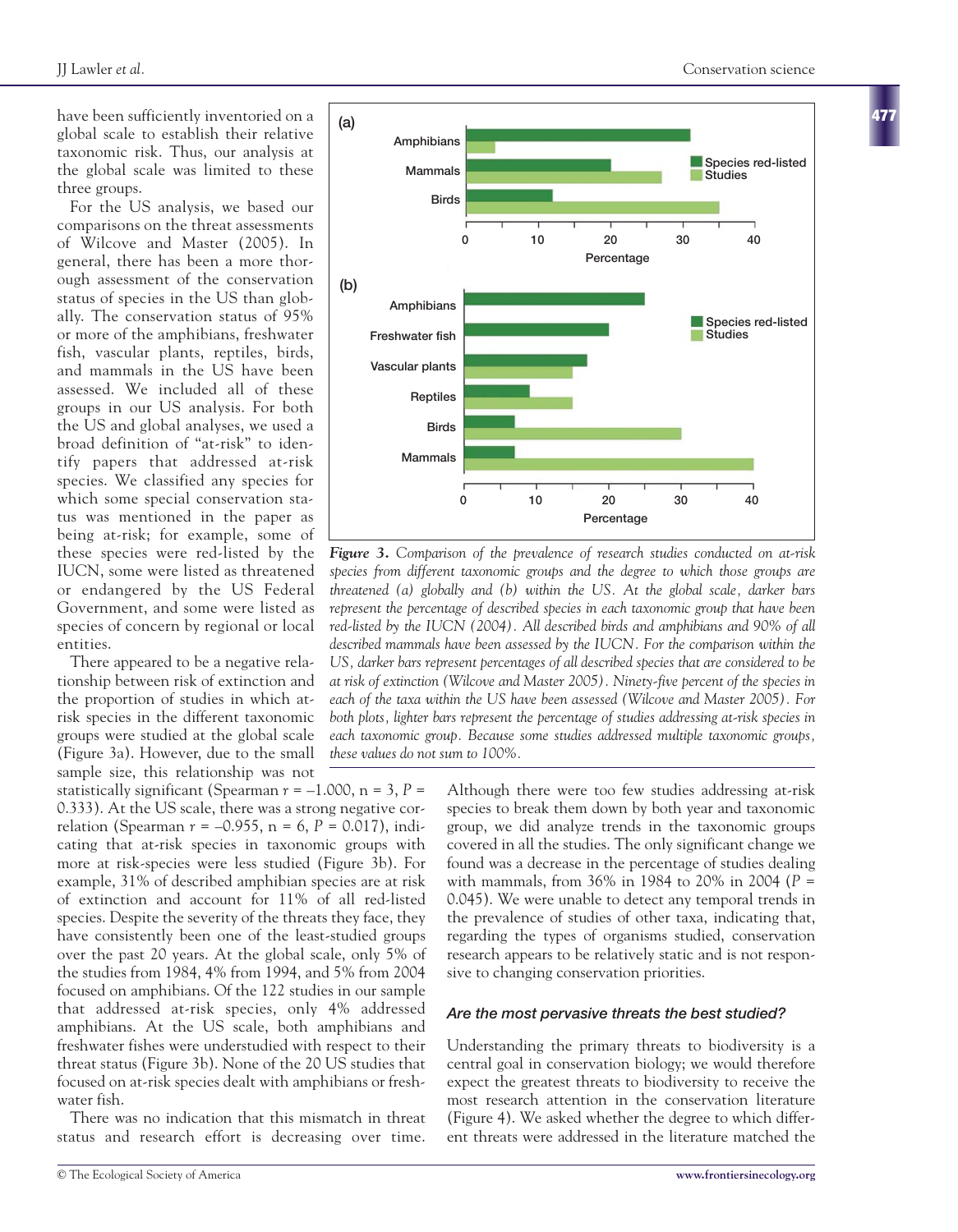**477**

have been sufficiently inventoried on a global scale to establish their relative taxonomic risk. Thus, our analysis at the global scale was limited to these three groups.

For the US analysis, we based our comparisons on the threat assessments of Wilcove and Master (2005). In general, there has been a more thorough assessment of the conservation status of species in the US than globally. The conservation status of 95% or more of the amphibians, freshwater fish, vascular plants, reptiles, birds, and mammals in the US have been assessed. We included all of these groups in our US analysis. For both the US and global analyses, we used a broad definition of "at-risk" to identify papers that addressed at-risk species. We classified any species for which some special conservation status was mentioned in the paper as being at-risk; for example, some of these species were red-listed by the IUCN, some were listed as threatened or endangered by the US Federal Government, and some were listed as species of concern by regional or local entities.

There appeared to be a negative relationship between risk of extinction and the proportion of studies in which atrisk species in the different taxonomic groups were studied at the global scale (Figure 3a). However, due to the small sample size, this relationship was not

statistically significant (Spearman  $r = -1.000$ ,  $n = 3$ ,  $P =$ 0.333). At the US scale, there was a strong negative correlation (Spearman *r* = –0.955, n = 6, *P* = 0.017), indicating that at-risk species in taxonomic groups with more at risk-species were less studied (Figure 3b). For example, 31% of described amphibian species are at risk of extinction and account for 11% of all red-listed species. Despite the severity of the threats they face, they have consistently been one of the least-studied groups over the past 20 years. At the global scale, only 5% of the studies from 1984, 4% from 1994, and 5% from 2004 focused on amphibians. Of the 122 studies in our sample that addressed at-risk species, only 4% addressed amphibians. At the US scale, both amphibians and freshwater fishes were understudied with respect to their threat status (Figure 3b). None of the 20 US studies that focused on at-risk species dealt with amphibians or freshwater fish.

There was no indication that this mismatch in threat status and research effort is decreasing over time.



*Figure 3. Comparison of the prevalence of research studies conducted on at-risk species from different taxonomic groups and the degree to which those groups are threatened (a) globally and (b) within the US. At the global scale, darker bars represent the percentage of described species in each taxonomic group that have been red-listed by the IUCN (2004). All described birds and amphibians and 90% of all described mammals have been assessed by the IUCN. For the comparison within the US, darker bars represent percentages of all described species that are considered to be at risk of extinction (Wilcove and Master 2005). Ninety-five percent of the species in each of the taxa within the US have been assessed (Wilcove and Master 2005). For both plots, lighter bars represent the percentage of studies addressing at-risk species in each taxonomic group. Because some studies addressed multiple taxonomic groups, these values do not sum to 100%.*

Although there were too few studies addressing at-risk species to break them down by both year and taxonomic group, we did analyze trends in the taxonomic groups covered in all the studies. The only significant change we found was a decrease in the percentage of studies dealing with mammals, from 36% in 1984 to 20% in 2004 (*P* = 0.045). We were unable to detect any temporal trends in the prevalence of studies of other taxa, indicating that, regarding the types of organisms studied, conservation research appears to be relatively static and is not responsive to changing conservation priorities.

# *Are the most pervasive threats the best studied?*

Understanding the primary threats to biodiversity is a central goal in conservation biology; we would therefore expect the greatest threats to biodiversity to receive the most research attention in the conservation literature (Figure 4). We asked whether the degree to which different threats were addressed in the literature matched the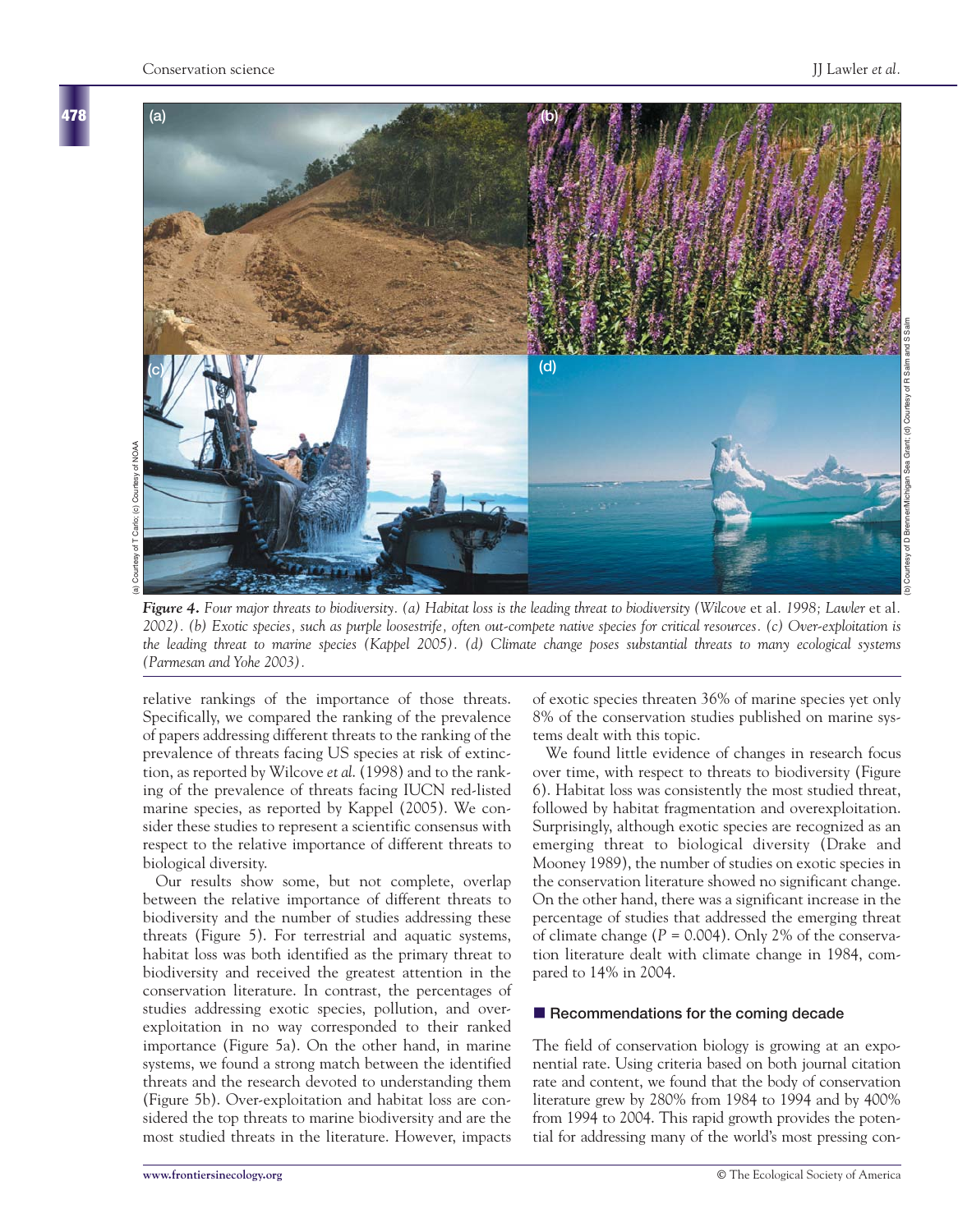**478**



*Figure 4. Four major threats to biodiversity. (a) Habitat loss is the leading threat to biodiversity (Wilcove* et al*. 1998; Lawler* et al*. 2002). (b) Exotic species, such as purple loosestrife, often out-compete native species for critical resources. (c) Over-exploitation is the leading threat to marine species (Kappel 2005). (d) Climate change poses substantial threats to many ecological systems (Parmesan and Yohe 2003).*

relative rankings of the importance of those threats. Specifically, we compared the ranking of the prevalence of papers addressing different threats to the ranking of the prevalence of threats facing US species at risk of extinction, as reported by Wilcove *et al*. (1998) and to the ranking of the prevalence of threats facing IUCN red-listed marine species, as reported by Kappel (2005). We consider these studies to represent a scientific consensus with respect to the relative importance of different threats to biological diversity.

Our results show some, but not complete, overlap between the relative importance of different threats to biodiversity and the number of studies addressing these threats (Figure 5). For terrestrial and aquatic systems, habitat loss was both identified as the primary threat to biodiversity and received the greatest attention in the conservation literature. In contrast, the percentages of studies addressing exotic species, pollution, and overexploitation in no way corresponded to their ranked importance (Figure 5a). On the other hand, in marine systems, we found a strong match between the identified threats and the research devoted to understanding them (Figure 5b). Over-exploitation and habitat loss are considered the top threats to marine biodiversity and are the most studied threats in the literature. However, impacts

of exotic species threaten 36% of marine species yet only 8% of the conservation studies published on marine systems dealt with this topic.

We found little evidence of changes in research focus over time, with respect to threats to biodiversity (Figure 6). Habitat loss was consistently the most studied threat, followed by habitat fragmentation and overexploitation. Surprisingly, although exotic species are recognized as an emerging threat to biological diversity (Drake and Mooney 1989), the number of studies on exotic species in the conservation literature showed no significant change. On the other hand, there was a significant increase in the percentage of studies that addressed the emerging threat of climate change (*P* = 0.004). Only 2% of the conservation literature dealt with climate change in 1984, compared to 14% in 2004.

#### ■ Recommendations for the coming decade

The field of conservation biology is growing at an exponential rate. Using criteria based on both journal citation rate and content, we found that the body of conservation literature grew by 280% from 1984 to 1994 and by 400% from 1994 to 2004. This rapid growth provides the potential for addressing many of the world's most pressing con-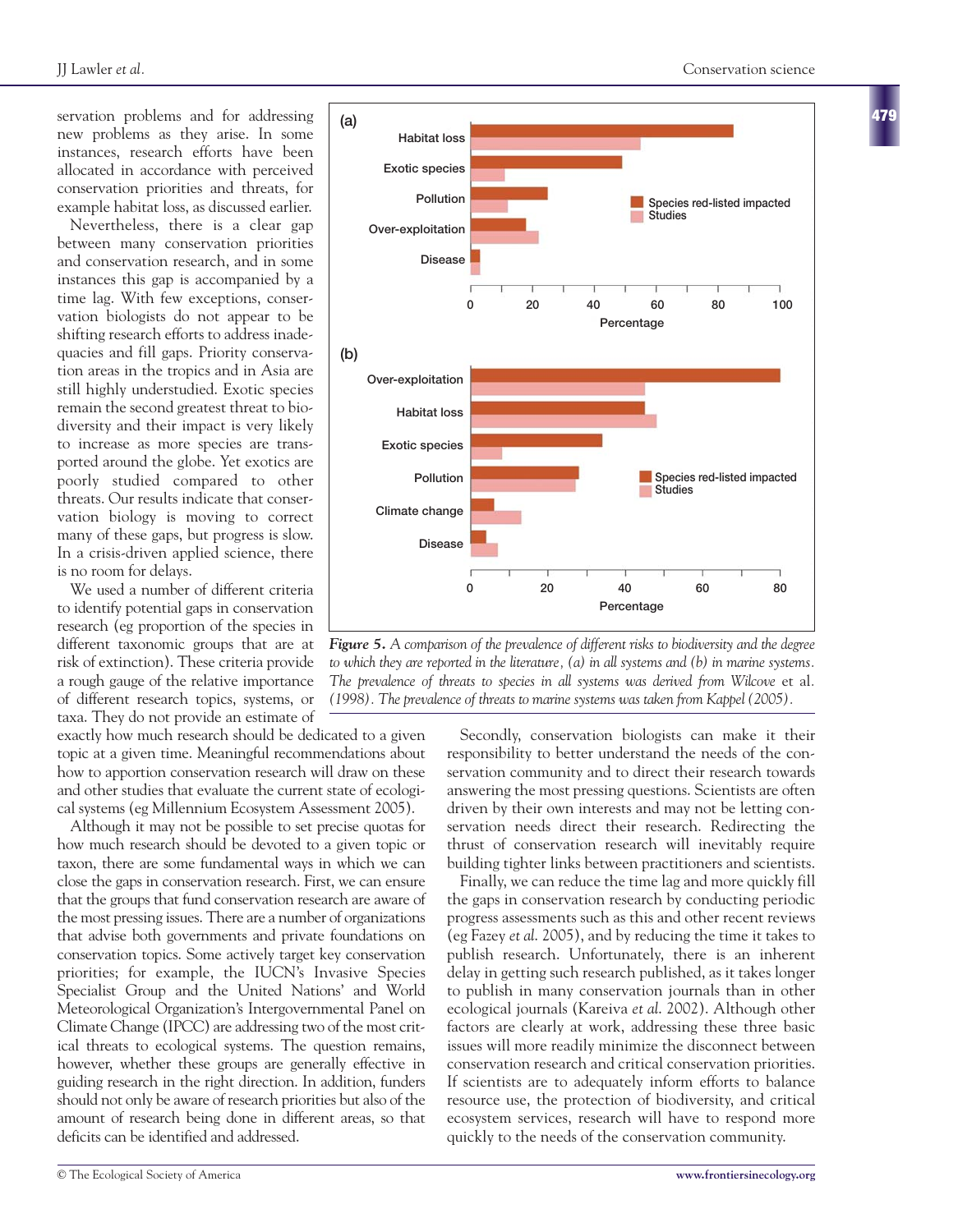servation problems and for addressing new problems as they arise. In some instances, research efforts have been allocated in accordance with perceived conservation priorities and threats, for example habitat loss, as discussed earlier.

Nevertheless, there is a clear gap between many conservation priorities and conservation research, and in some instances this gap is accompanied by a time lag. With few exceptions, conservation biologists do not appear to be shifting research efforts to address inadequacies and fill gaps. Priority conservation areas in the tropics and in Asia are still highly understudied. Exotic species remain the second greatest threat to biodiversity and their impact is very likely to increase as more species are transported around the globe. Yet exotics are poorly studied compared to other threats. Our results indicate that conservation biology is moving to correct many of these gaps, but progress is slow. In a crisis-driven applied science, there is no room for delays.

We used a number of different criteria to identify potential gaps in conservation research (eg proportion of the species in different taxonomic groups that are at risk of extinction). These criteria provide a rough gauge of the relative importance of different research topics, systems, or taxa. They do not provide an estimate of

exactly how much research should be dedicated to a given topic at a given time. Meaningful recommendations about how to apportion conservation research will draw on these and other studies that evaluate the current state of ecological systems (eg Millennium Ecosystem Assessment 2005).

Although it may not be possible to set precise quotas for how much research should be devoted to a given topic or taxon, there are some fundamental ways in which we can close the gaps in conservation research. First, we can ensure that the groups that fund conservation research are aware of the most pressing issues. There are a number of organizations that advise both governments and private foundations on conservation topics. Some actively target key conservation priorities; for example, the IUCN's Invasive Species Specialist Group and the United Nations' and World Meteorological Organization's Intergovernmental Panel on Climate Change (IPCC) are addressing two of the most critical threats to ecological systems. The question remains, however, whether these groups are generally effective in guiding research in the right direction. In addition, funders should not only be aware of research priorities but also of the amount of research being done in different areas, so that deficits can be identified and addressed.



*Figure 5. A comparison of the prevalence of different risks to biodiversity and the degree to which they are reported in the literature, (a) in all systems and (b) in marine systems. The prevalence of threats to species in all systems was derived from Wilcove* et al*. (1998). The prevalence of threats to marine systems was taken from Kappel (2005).*

Secondly, conservation biologists can make it their responsibility to better understand the needs of the conservation community and to direct their research towards answering the most pressing questions. Scientists are often driven by their own interests and may not be letting conservation needs direct their research. Redirecting the thrust of conservation research will inevitably require building tighter links between practitioners and scientists.

Finally, we can reduce the time lag and more quickly fill the gaps in conservation research by conducting periodic progress assessments such as this and other recent reviews (eg Fazey *et al*. 2005), and by reducing the time it takes to publish research. Unfortunately, there is an inherent delay in getting such research published, as it takes longer to publish in many conservation journals than in other ecological journals (Kareiva *et al*. 2002). Although other factors are clearly at work, addressing these three basic issues will more readily minimize the disconnect between conservation research and critical conservation priorities. If scientists are to adequately inform efforts to balance resource use, the protection of biodiversity, and critical ecosystem services, research will have to respond more quickly to the needs of the conservation community.